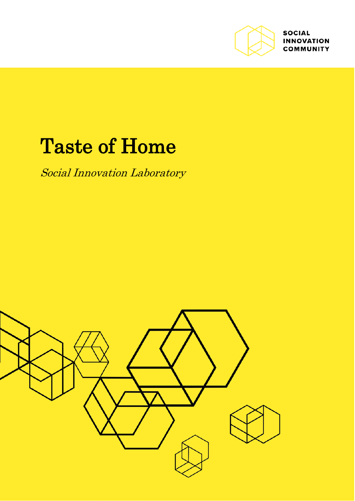

**SOCIAL INNOVATION COMMUNITY** 

# Taste of Home

Social Innovation Laboratory

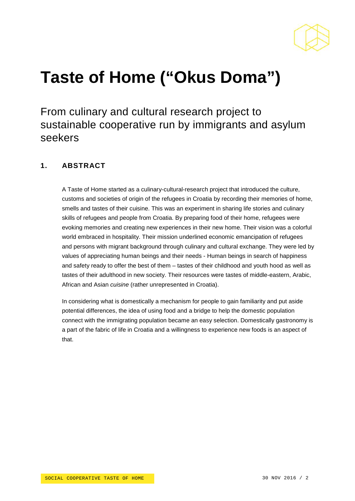

# **Taste of Home ("Okus Doma")**

From culinary and cultural research project to sustainable cooperative run by immigrants and asylum seekers

### **1. ABSTRACT**

A Taste of Home started as a culinary-cultural-research project that introduced the culture, customs and societies of origin of the refugees in Croatia by recording their memories of home, smells and tastes of their cuisine. This was an experiment in sharing life stories and culinary skills of refugees and people from Croatia. By preparing food of their home, refugees were evoking memories and creating new experiences in their new home. Their vision was a colorful world embraced in hospitality. Their mission underlined economic emancipation of refugees and persons with migrant background through culinary and cultural exchange. They were led by values of appreciating human beings and their needs - Human beings in search of happiness and safety ready to offer the best of them – tastes of their childhood and youth hood as well as tastes of their adulthood in new society. Their resources were tastes of middle-eastern, Arabic, African and Asian *cuisine* (rather unrepresented in Croatia).

In considering what is domestically a mechanism for people to gain familiarity and put aside potential differences, the idea of using food and a bridge to help the domestic population connect with the immigrating population became an easy selection. Domestically gastronomy is a part of the fabric of life in Croatia and a willingness to experience new foods is an aspect of that.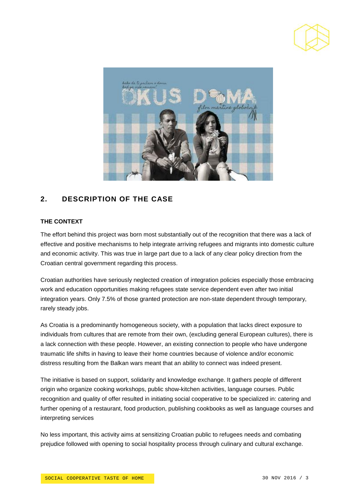



## **2. DESCRIPTION OF THE CASE**

#### **THE CONTEXT**

The effort behind this project was born most substantially out of the recognition that there was a lack of effective and positive mechanisms to help integrate arriving refugees and migrants into domestic culture and economic activity. This was true in large part due to a lack of any clear policy direction from the Croatian central government regarding this process.

Croatian authorities have seriously neglected creation of integration policies especially those embracing work and education opportunities making refugees state service dependent even after two initial integration years. Only 7.5% of those granted protection are non-state dependent through temporary, rarely steady jobs.

As Croatia is a predominantly homogeneous society, with a population that lacks direct exposure to individuals from cultures that are remote from their own, (excluding general European cultures), there is a lack connection with these people. However, an existing connection to people who have undergone traumatic life shifts in having to leave their home countries because of violence and/or economic distress resulting from the Balkan wars meant that an ability to connect was indeed present.

The initiative is based on support, solidarity and knowledge exchange. It gathers people of different origin who organize cooking workshops, public show-kitchen activities, language courses. Public recognition and quality of offer resulted in initiating social cooperative to be specialized in: catering and further opening of a restaurant, food production, publishing cookbooks as well as language courses and interpreting services

No less important, this activity aims at sensitizing Croatian public to refugees needs and combating prejudice followed with opening to social hospitality process through culinary and cultural exchange.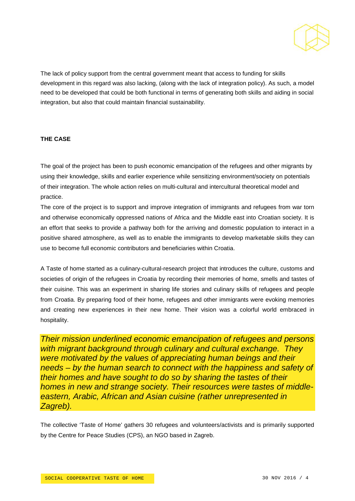

The lack of policy support from the central government meant that access to funding for skills development in this regard was also lacking, (along with the lack of integration policy). As such, a model need to be developed that could be both functional in terms of generating both skills and aiding in social integration, but also that could maintain financial sustainability.

#### **THE CASE**

The goal of the project has been to push economic emancipation of the refugees and other migrants by using their knowledge, skills and earlier experience while sensitizing environment/society on potentials of their integration. The whole action relies on multi-cultural and intercultural theoretical model and practice.

The core of the project is to support and improve integration of immigrants and refugees from war torn and otherwise economically oppressed nations of Africa and the Middle east into Croatian society. It is an effort that seeks to provide a pathway both for the arriving and domestic population to interact in a positive shared atmosphere, as well as to enable the immigrants to develop marketable skills they can use to become full economic contributors and beneficiaries within Croatia.

A Taste of home started as a culinary-cultural-research project that introduces the culture, customs and societies of origin of the refugees in Croatia by recording their memories of home, smells and tastes of their cuisine. This was an experiment in sharing life stories and culinary skills of refugees and people from Croatia. By preparing food of their home, refugees and other immigrants were evoking memories and creating new experiences in their new home. Their vision was a colorful world embraced in hospitality.

*Their mission underlined economic emancipation of refugees and persons with migrant background through culinary and cultural exchange. They were motivated by the values of appreciating human beings and their needs – by the human search to connect with the happiness and safety of their homes and have sought to do so by sharing the tastes of their homes in new and strange society. Their resources were tastes of middleeastern, Arabic, African and Asian cuisine (rather unrepresented in Zagreb).*

The collective 'Taste of Home' gathers 30 refugees and volunteers/activists and is primarily supported by the Centre for Peace Studies (CPS), an NGO based in Zagreb.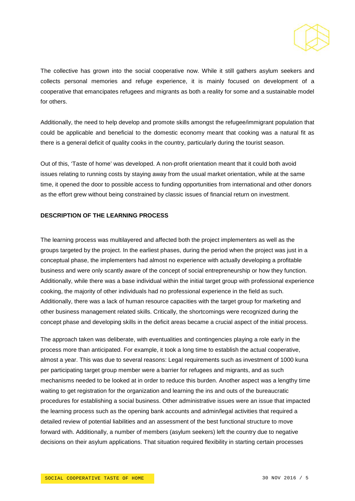

The collective has grown into the social cooperative now. While it still gathers asylum seekers and collects personal memories and refuge experience, it is mainly focused on development of a cooperative that emancipates refugees and migrants as both a reality for some and a sustainable model for others.

Additionally, the need to help develop and promote skills amongst the refugee/immigrant population that could be applicable and beneficial to the domestic economy meant that cooking was a natural fit as there is a general deficit of quality cooks in the country, particularly during the tourist season.

Out of this, 'Taste of home' was developed. A non-profit orientation meant that it could both avoid issues relating to running costs by staying away from the usual market orientation, while at the same time, it opened the door to possible access to funding opportunities from international and other donors as the effort grew without being constrained by classic issues of financial return on investment.

#### **DESCRIPTION OF THE LEARNING PROCESS**

The learning process was multilayered and affected both the project implementers as well as the groups targeted by the project. In the earliest phases, during the period when the project was just in a conceptual phase, the implementers had almost no experience with actually developing a profitable business and were only scantly aware of the concept of social entrepreneurship or how they function. Additionally, while there was a base individual within the initial target group with professional experience cooking, the majority of other individuals had no professional experience in the field as such. Additionally, there was a lack of human resource capacities with the target group for marketing and other business management related skills. Critically, the shortcomings were recognized during the concept phase and developing skills in the deficit areas became a crucial aspect of the initial process.

The approach taken was deliberate, with eventualities and contingencies playing a role early in the process more than anticipated. For example, it took a long time to establish the actual cooperative, almost a year. This was due to several reasons: Legal requirements such as investment of 1000 kuna per participating target group member were a barrier for refugees and migrants, and as such mechanisms needed to be looked at in order to reduce this burden. Another aspect was a lengthy time waiting to get registration for the organization and learning the ins and outs of the bureaucratic procedures for establishing a social business. Other administrative issues were an issue that impacted the learning process such as the opening bank accounts and admin/legal activities that required a detailed review of potential liabilities and an assessment of the best functional structure to move forward with. Additionally, a number of members (asylum seekers) left the country due to negative decisions on their asylum applications. That situation required flexibility in starting certain processes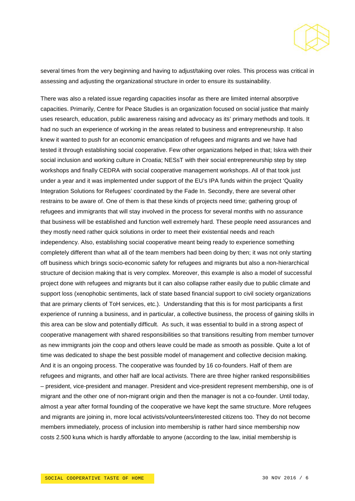

several times from the very beginning and having to adjust/taking over roles. This process was critical in assessing and adjusting the organizational structure in order to ensure its sustainability.

There was also a related issue regarding capacities insofar as there are limited internal absorptive capacities. Primarily, Centre for Peace Studies is an organization focused on social justice that mainly uses research, education, public awareness raising and advocacy as its' primary methods and tools. It had no such an experience of working in the areas related to business and entrepreneurship. It also knew it wanted to push for an economic emancipation of refugees and migrants and we have had tested it through establishing social cooperative. Few other organizations helped in that; Iskra with their social inclusion and working culture in Croatia; NESsT with their social entrepreneurship step by step workshops and finally CEDRA with social cooperative management workshops. All of that took just under a year and it was implemented under support of the EU's IPA funds within the project 'Quality Integration Solutions for Refugees' coordinated by the Fade In. Secondly, there are several other restrains to be aware of. One of them is that these kinds of projects need time; gathering group of refugees and immigrants that will stay involved in the process for several months with no assurance that business will be established and function well extremely hard. These people need assurances and they mostly need rather quick solutions in order to meet their existential needs and reach independency. Also, establishing social cooperative meant being ready to experience something completely different than what all of the team members had been doing by then; it was not only starting off business which brings socio-economic safety for refugees and migrants but also a non-hierarchical structure of decision making that is very complex. Moreover, this example is also a model of successful project done with refugees and migrants but it can also collapse rather easily due to public climate and support loss (xenophobic sentiments, lack of state based financial support to civil society organizations that are primary clients of ToH services, etc.). Understanding that this is for most participants a first experience of running a business, and in particular, a collective business, the process of gaining skills in this area can be slow and potentially difficult. As such, it was essential to build in a strong aspect of cooperative management with shared responsibilities so that transitions resulting from member turnover as new immigrants join the coop and others leave could be made as smooth as possible. Quite a lot of time was dedicated to shape the best possible model of management and collective decision making. And it is an ongoing process. The cooperative was founded by 16 co-founders. Half of them are refugees and migrants, and other half are local activists. There are three higher ranked responsibilities – president, vice-president and manager. President and vice-president represent membership, one is of migrant and the other one of non-migrant origin and then the manager is not a co-founder. Until today, almost a year after formal founding of the cooperative we have kept the same structure. More refugees and migrants are joining in, more local activists/volunteers/interested citizens too. They do not become members immediately, process of inclusion into membership is rather hard since membership now costs 2.500 kuna which is hardly affordable to anyone (according to the law, initial membership is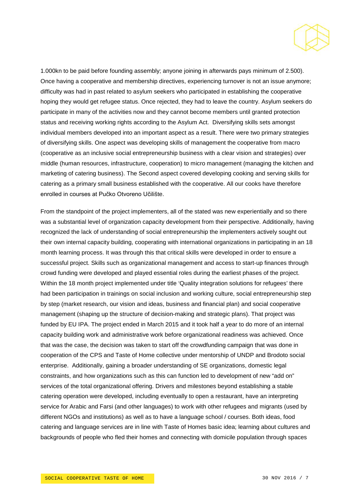

1.000kn to be paid before founding assembly; anyone joining in afterwards pays minimum of 2.500). Once having a cooperative and membership directives, experiencing turnover is not an issue anymore; difficulty was had in past related to asylum seekers who participated in establishing the cooperative hoping they would get refugee status. Once rejected, they had to leave the country. Asylum seekers do participate in many of the activities now and they cannot become members until granted protection status and receiving working rights according to the Asylum Act. Diversifying skills sets amongst individual members developed into an important aspect as a result. There were two primary strategies of diversifying skills. One aspect was developing skills of management the cooperative from macro (cooperative as an inclusive social entrepreneurship business with a clear vision and strategies) over middle (human resources, infrastructure, cooperation) to micro management (managing the kitchen and marketing of catering business). The Second aspect covered developing cooking and serving skills for catering as a primary small business established with the cooperative. All our cooks have therefore enrolled in courses at Pučko Otvoreno Učilište.

From the standpoint of the project implementers, all of the stated was new experientially and so there was a substantial level of organization capacity development from their perspective. Additionally, having recognized the lack of understanding of social entrepreneurship the implementers actively sought out their own internal capacity building, cooperating with international organizations in participating in an 18 month learning process. It was through this that critical skills were developed in order to ensure a successful project. Skills such as organizational management and access to start-up finances through crowd funding were developed and played essential roles during the earliest phases of the project. Within the 18 month project implemented under title 'Quality integration solutions for refugees' there had been participation in trainings on social inclusion and working culture, social entrepreneurship step by step (market research, our vision and ideas, business and financial plan) and social cooperative management (shaping up the structure of decision-making and strategic plans). That project was funded by EU IPA. The project ended in March 2015 and it took half a year to do more of an internal capacity building work and administrative work before organizational readiness was achieved. Once that was the case, the decision was taken to start off the crowdfunding campaign that was done in cooperation of the CPS and Taste of Home collective under mentorship of UNDP and Brodoto social enterprise. Additionally, gaining a broader understanding of SE organizations, domestic legal constraints, and how organizations such as this can function led to development of new "add on" services of the total organizational offering. Drivers and milestones beyond establishing a stable catering operation were developed, including eventually to open a restaurant, have an interpreting service for Arabic and Farsi (and other languages) to work with other refugees and migrants (used by different NGOs and institutions) as well as to have a language school / courses. Both ideas, food catering and language services are in line with Taste of Homes basic idea; learning about cultures and backgrounds of people who fled their homes and connecting with domicile population through spaces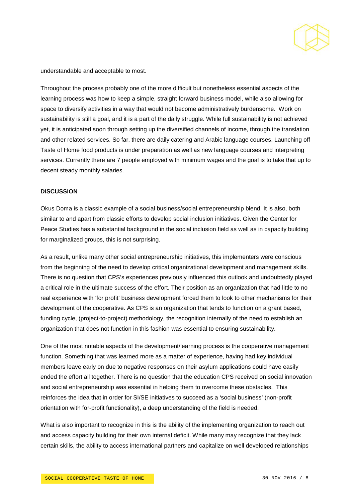

understandable and acceptable to most.

Throughout the process probably one of the more difficult but nonetheless essential aspects of the learning process was how to keep a simple, straight forward business model, while also allowing for space to diversify activities in a way that would not become administratively burdensome. Work on sustainability is still a goal, and it is a part of the daily struggle. While full sustainability is not achieved yet, it is anticipated soon through setting up the diversified channels of income, through the translation and other related services. So far, there are daily catering and Arabic language courses. Launching off Taste of Home food products is under preparation as well as new language courses and interpreting services. Currently there are 7 people employed with minimum wages and the goal is to take that up to decent steady monthly salaries.

#### **DISCUSSION**

Okus Doma is a classic example of a social business/social entrepreneurship blend. It is also, both similar to and apart from classic efforts to develop social inclusion initiatives. Given the Center for Peace Studies has a substantial background in the social inclusion field as well as in capacity building for marginalized groups, this is not surprising.

As a result, unlike many other social entrepreneurship initiatives, this implementers were conscious from the beginning of the need to develop critical organizational development and management skills. There is no question that CPS's experiences previously influenced this outlook and undoubtedly played a critical role in the ultimate success of the effort. Their position as an organization that had little to no real experience with 'for profit' business development forced them to look to other mechanisms for their development of the cooperative. As CPS is an organization that tends to function on a grant based, funding cycle, (project-to-project) methodology, the recognition internally of the need to establish an organization that does not function in this fashion was essential to ensuring sustainability.

One of the most notable aspects of the development/learning process is the cooperative management function. Something that was learned more as a matter of experience, having had key individual members leave early on due to negative responses on their asylum applications could have easily ended the effort all together. There is no question that the education CPS received on social innovation and social entrepreneurship was essential in helping them to overcome these obstacles. This reinforces the idea that in order for SI/SE initiatives to succeed as a 'social business' (non-profit orientation with for-profit functionality), a deep understanding of the field is needed.

What is also important to recognize in this is the ability of the implementing organization to reach out and access capacity building for their own internal deficit. While many may recognize that they lack certain skills, the ability to access international partners and capitalize on well developed relationships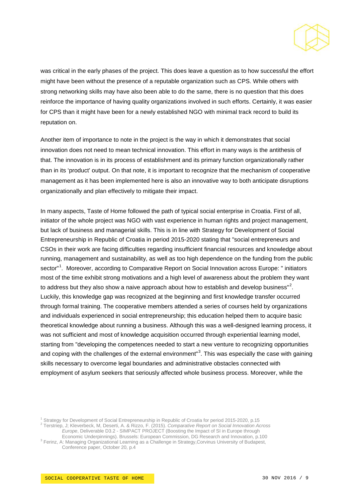

was critical in the early phases of the project. This does leave a question as to how successful the effort might have been without the presence of a reputable organization such as CPS. While others with strong networking skills may have also been able to do the same, there is no question that this does reinforce the importance of having quality organizations involved in such efforts. Certainly, it was easier for CPS than it might have been for a newly established NGO with minimal track record to build its reputation on.

Another item of importance to note in the project is the way in which it demonstrates that social innovation does not need to mean technical innovation. This effort in many ways is the antithesis of that. The innovation is in its process of establishment and its primary function organizationally rather than in its 'product' output. On that note, it is important to recognize that the mechanism of cooperative management as it has been implemented here is also an innovative way to both anticipate disruptions organizationally and plan effectively to mitigate their impact.

In many aspects, Taste of Home followed the path of typical social enterprise in Croatia. First of all, initiator of the whole project was NGO with vast experience in human rights and project management, but lack of business and managerial skills. This is in line with Strategy for Development of Social Entrepreneurship in Republic of Croatia in period 2015-2020 stating that "social entrepreneurs and CSOs in their work are facing difficulties regarding insufficient financial resources and knowledge about running, management and sustainability, as well as too high dependence on the funding from the public sector"<sup>[1](#page-8-0)</sup>. Moreover, according to Comparative Report on Social Innovation across Europe: " initiators most of the time exhibit strong motivations and a high level of awareness about the problem they want to address but they also show a naive approach about how to establish and develop business"<sup>[2](#page-8-1)</sup>. Luckily, this knowledge gap was recognized at the beginning and first knowledge transfer occurred through formal training. The cooperative members attended a series of courses held by organizations and individuals experienced in social entrepreneurship; this education helped them to acquire basic theoretical knowledge about running a business. Although this was a well-designed learning process, it was not sufficient and most of knowledge acquisition occurred through experiential learning model, starting from "developing the competences needed to start a new venture to recognizing opportunities and coping with the challenges of the external environment"<sup>[3](#page-8-2)</sup>. This was especially the case with gaining skills necessary to overcome legal boundaries and administrative obstacles connected with employment of asylum seekers that seriously affected whole business process. Moreover, while the

<span id="page-8-0"></span><sup>1</sup> Strategy for Development of Social Entrepreneurship in Republic of Croatia for period 2015-2020, p.15 <sup>2</sup> Terstriep, J; Kleverbeck, M, Deserti, A. & Rizzo, F. (2015). *Comparative Report on Social Innovation Across* 

<span id="page-8-1"></span>

*Europe*, Deliverable D3.2 - SIMPACT PROJECT (Boosting the Impact of SI in Europe through<br>Economic Underpinnings). Brussels: European Commission, DG Research and Innovation, p.100

<span id="page-8-2"></span> $3$  Ferinz, A: Managing Organizational Learning as a Challenge in Strategy, Corvinus University of Budapest, Conference paper, October 20, p.4